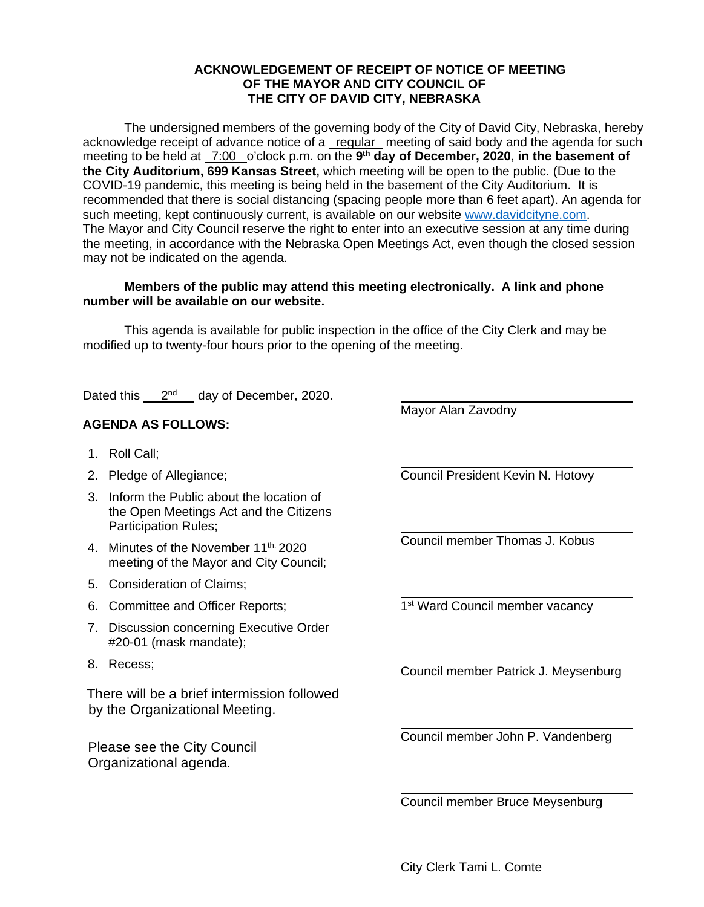### **ACKNOWLEDGEMENT OF RECEIPT OF NOTICE OF MEETING OF THE MAYOR AND CITY COUNCIL OF THE CITY OF DAVID CITY, NEBRASKA**

The undersigned members of the governing body of the City of David City, Nebraska, hereby acknowledge receipt of advance notice of a regular meeting of said body and the agenda for such meeting to be held at <u>7:00</u> o'clock p.m. on the 9<sup>th</sup> day of December, 2020, in the basement of **the City Auditorium, 699 Kansas Street,** which meeting will be open to the public. (Due to the COVID-19 pandemic, this meeting is being held in the basement of the City Auditorium. It is recommended that there is social distancing (spacing people more than 6 feet apart). An agenda for such meeting, kept continuously current, is available on our website [www.davidcityne.com.](https://urldefense.proofpoint.com/v2/url?u=http-3A__www.davidcityne.com&d=DwMFAg&c=UCja3IwhyjPGYeHcG7oIbg&r=sTF4AptKcZUvAdPZH__AgXD7wYT5PTsm1dL8p3vwYO4&m=H_1JksRqSJf69XA0HV8uDjtaNsM1PhWMo-DkTNHrSaE&s=wLyFni_YrhiWLHduEQzSflZL77e5AtnnCpVJ-weajcE&e=) The Mayor and City Council reserve the right to enter into an executive session at any time during the meeting, in accordance with the Nebraska Open Meetings Act, even though the closed session may not be indicated on the agenda.

### **Members of the public may attend this meeting electronically. A link and phone number will be available on our website.**

 This agenda is available for public inspection in the office of the City Clerk and may be modified up to twenty-four hours prior to the opening of the meeting.

 $\overline{a}$ 

 $\overline{a}$ 

 $\overline{a}$ 

 $\overline{a}$ 

 $\overline{a}$ 

Dated this 2<sup>nd</sup> day of December, 2020.

# **AGENDA AS FOLLOWS:**

- 1. Roll Call;
- 2. Pledge of Allegiance;
- 3. Inform the Public about the location of the Open Meetings Act and the Citizens Participation Rules;
- 4. Minutes of the November 11<sup>th, 2020</sup> meeting of the Mayor and City Council;
- 5. Consideration of Claims;
- 6. Committee and Officer Reports;
- 7. Discussion concerning Executive Order #20-01 (mask mandate);
- 8. Recess;

There will be a brief intermission followed by the Organizational Meeting.

Please see the City Council Organizational agenda.

Mayor Alan Zavodny

Council President Kevin N. Hotovy

 $\overline{a}$ Council member Thomas J. Kobus

 $\overline{a}$ 1<sup>st</sup> Ward Council member vacancy

 $\overline{a}$ Council member Patrick J. Meysenburg

Council member John P. Vandenberg

Council member Bruce Meysenburg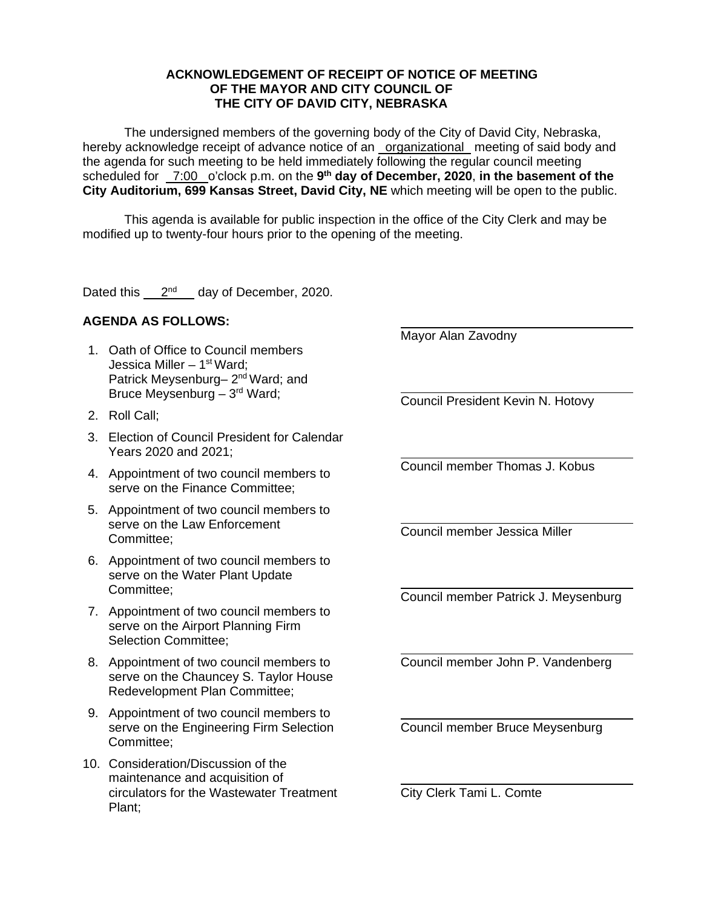### **ACKNOWLEDGEMENT OF RECEIPT OF NOTICE OF MEETING OF THE MAYOR AND CITY COUNCIL OF THE CITY OF DAVID CITY, NEBRASKA**

The undersigned members of the governing body of the City of David City, Nebraska, hereby acknowledge receipt of advance notice of an organizational meeting of said body and the agenda for such meeting to be held immediately following the regular council meeting scheduled for \_7:00 \_o'clock p.m. on the 9<sup>th</sup> day of December, 2020, in the basement of the **City Auditorium, 699 Kansas Street, David City, NE** which meeting will be open to the public.

This agenda is available for public inspection in the office of the City Clerk and may be modified up to twenty-four hours prior to the opening of the meeting.

Dated this  $2<sup>nd</sup>$  day of December, 2020.

## **AGENDA AS FOLLOWS:**

- 1. Oath of Office to Council members Jessica Miller  $-1<sup>st</sup> Ward;$ Patrick Meysenburg- 2<sup>nd</sup> Ward; and Bruce Meysenburg – 3rd Ward;
- 2. Roll Call;
- 3. Election of Council President for Calendar Years 2020 and 2021;
- 4. Appointment of two council members to serve on the Finance Committee;
- 5. Appointment of two council members to serve on the Law Enforcement Committee;
- 6. Appointment of two council members to serve on the Water Plant Update Committee;
- 7. Appointment of two council members to serve on the Airport Planning Firm Selection Committee;
- 8. Appointment of two council members to serve on the Chauncey S. Taylor House Redevelopment Plan Committee;
- 9. Appointment of two council members to serve on the Engineering Firm Selection Committee;
- 10. Consideration/Discussion of the maintenance and acquisition of circulators for the Wastewater Treatment Plant;

Mayor Alan Zavodny

 $\overline{a}$ 

 $\overline{a}$ 

 $\overline{a}$ 

 $\overline{a}$ 

 $\overline{a}$ 

 $\overline{a}$ 

 $\overline{a}$ Council President Kevin N. Hotovy

 $\overline{a}$ Council member Thomas J. Kobus

Council member Jessica Miller

Council member Patrick J. Meysenburg

Council member John P. Vandenberg

Council member Bruce Meysenburg

City Clerk Tami L. Comte